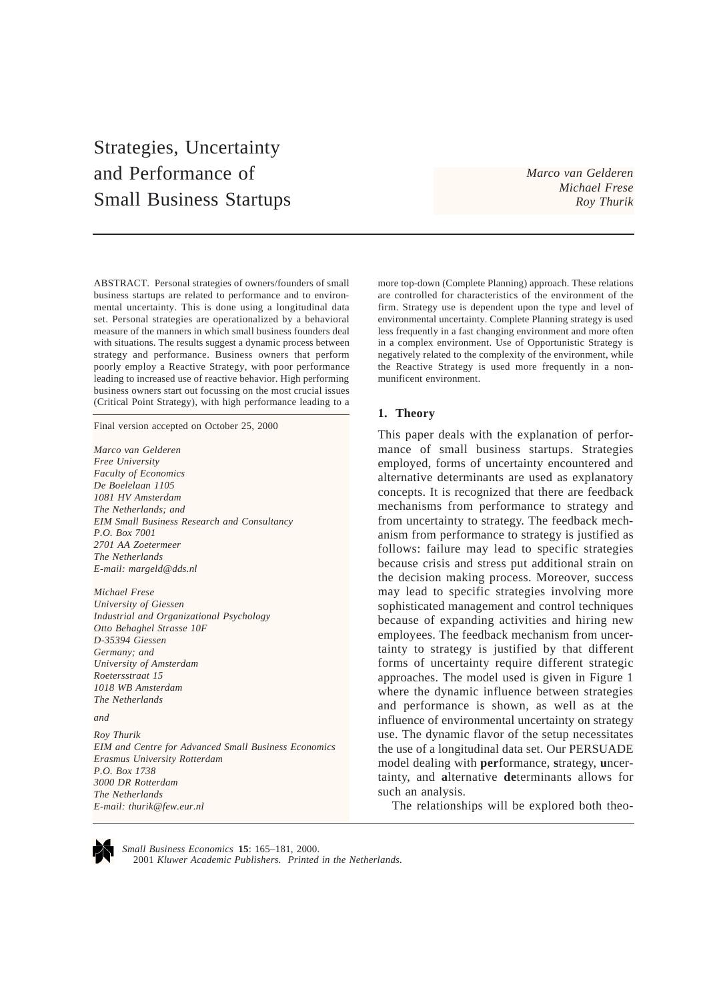# Strategies, Uncertainty and Performance of Small Business Startups

ABSTRACT. Personal strategies of owners/founders of small business startups are related to performance and to environmental uncertainty. This is done using a longitudinal data set. Personal strategies are operationalized by a behavioral measure of the manners in which small business founders deal with situations. The results suggest a dynamic process between strategy and performance. Business owners that perform poorly employ a Reactive Strategy, with poor performance leading to increased use of reactive behavior. High performing business owners start out focussing on the most crucial issues (Critical Point Strategy), with high performance leading to a

Final version accepted on October 25, 2000

*Marco van Gelderen Free University Faculty of Economics De Boelelaan 1105 1081 HV Amsterdam The Netherlands; and EIM Small Business Research and Consultancy P.O. Box 7001 2701 AA Zoetermeer The Netherlands E-mail: margeld@dds.nl*

*Michael Frese University of Giessen Industrial and Organizational Psychology Otto Behaghel Strasse 10F D-35394 Giessen Germany; and University of Amsterdam Roetersstraat 15 1018 WB Amsterdam The Netherlands*

#### *and*

*Roy Thurik EIM and Centre for Advanced Small Business Economics Erasmus University Rotterdam P.O. Box 1738 3000 DR Rotterdam The Netherlands E-mail: thurik@few.eur.nl*

*Marco van Gelderen Michael Frese Roy Thurik*

more top-down (Complete Planning) approach. These relations are controlled for characteristics of the environment of the firm. Strategy use is dependent upon the type and level of environmental uncertainty. Complete Planning strategy is used less frequently in a fast changing environment and more often in a complex environment. Use of Opportunistic Strategy is negatively related to the complexity of the environment, while the Reactive Strategy is used more frequently in a nonmunificent environment.

#### **1. Theory**

This paper deals with the explanation of performance of small business startups. Strategies employed, forms of uncertainty encountered and alternative determinants are used as explanatory concepts. It is recognized that there are feedback mechanisms from performance to strategy and from uncertainty to strategy. The feedback mechanism from performance to strategy is justified as follows: failure may lead to specific strategies because crisis and stress put additional strain on the decision making process. Moreover, success may lead to specific strategies involving more sophisticated management and control techniques because of expanding activities and hiring new employees. The feedback mechanism from uncertainty to strategy is justified by that different forms of uncertainty require different strategic approaches. The model used is given in Figure 1 where the dynamic influence between strategies and performance is shown, as well as at the influence of environmental uncertainty on strategy use. The dynamic flavor of the setup necessitates the use of a longitudinal data set. Our PERSUADE model dealing with **per**formance, **s**trategy, **u**ncertainty, and **a**lternative **de**terminants allows for such an analysis.

The relationships will be explored both theo-



*Small Business Economics* **15**: 165–181, 2000.

2001 *Kluwer Academic Publishers. Printed in the Netherlands.*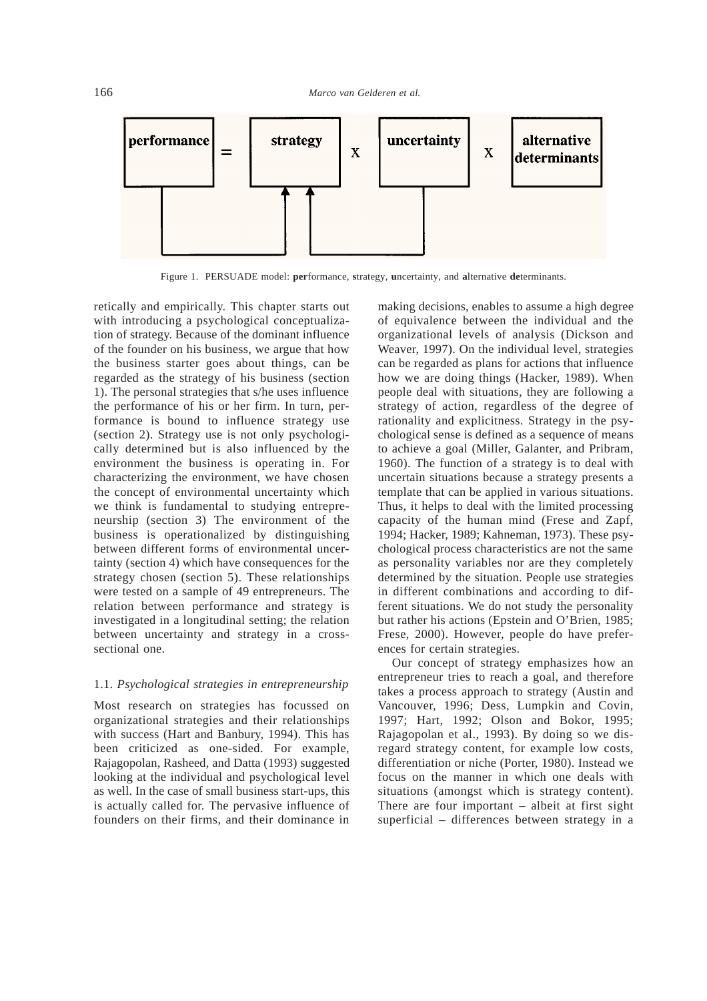

Figure 1. PERSUADE model: **per**formance, **s**trategy, **u**ncertainty, and **a**lternative **de**terminants.

retically and empirically. This chapter starts out with introducing a psychological conceptualization of strategy. Because of the dominant influence of the founder on his business, we argue that how the business starter goes about things, can be regarded as the strategy of his business (section 1). The personal strategies that s/he uses influence the performance of his or her firm. In turn, performance is bound to influence strategy use (section 2). Strategy use is not only psychologically determined but is also influenced by the environment the business is operating in. For characterizing the environment, we have chosen the concept of environmental uncertainty which we think is fundamental to studying entrepreneurship (section 3) The environment of the business is operationalized by distinguishing between different forms of environmental uncertainty (section 4) which have consequences for the strategy chosen (section 5). These relationships were tested on a sample of 49 entrepreneurs. The relation between performance and strategy is investigated in a longitudinal setting; the relation between uncertainty and strategy in a crosssectional one.

## 1.1. *Psychological strategies in entrepreneurship*

Most research on strategies has focussed on organizational strategies and their relationships with success (Hart and Banbury, 1994). This has been criticized as one-sided. For example, Rajagopolan, Rasheed, and Datta (1993) suggested looking at the individual and psychological level as well. In the case of small business start-ups, this is actually called for. The pervasive influence of founders on their firms, and their dominance in

making decisions, enables to assume a high degree of equivalence between the individual and the organizational levels of analysis (Dickson and Weaver, 1997). On the individual level, strategies can be regarded as plans for actions that influence how we are doing things (Hacker, 1989). When people deal with situations, they are following a strategy of action, regardless of the degree of rationality and explicitness. Strategy in the psychological sense is defined as a sequence of means to achieve a goal (Miller, Galanter, and Pribram, 1960). The function of a strategy is to deal with uncertain situations because a strategy presents a template that can be applied in various situations. Thus, it helps to deal with the limited processing capacity of the human mind (Frese and Zapf, 1994; Hacker, 1989; Kahneman, 1973). These psychological process characteristics are not the same as personality variables nor are they completely determined by the situation. People use strategies in different combinations and according to different situations. We do not study the personality but rather his actions (Epstein and O'Brien, 1985; Frese, 2000). However, people do have preferences for certain strategies.

Our concept of strategy emphasizes how an entrepreneur tries to reach a goal, and therefore takes a process approach to strategy (Austin and Vancouver, 1996; Dess, Lumpkin and Covin, 1997; Hart, 1992; Olson and Bokor, 1995; Rajagopolan et al., 1993). By doing so we disregard strategy content, for example low costs, differentiation or niche (Porter, 1980). Instead we focus on the manner in which one deals with situations (amongst which is strategy content). There are four important – albeit at first sight superficial – differences between strategy in a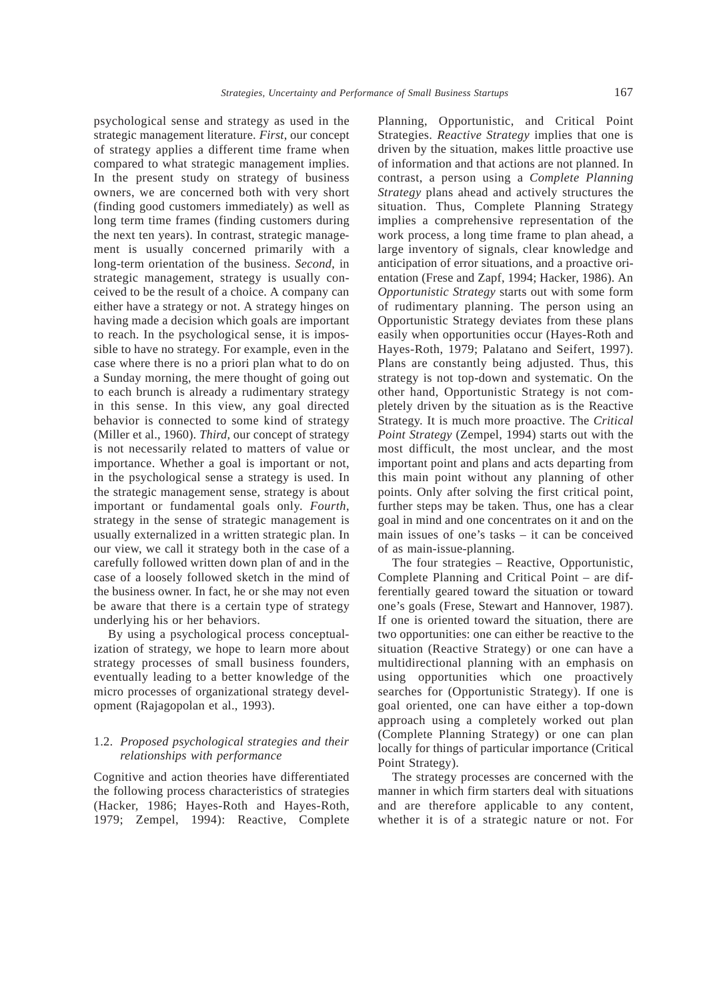psychological sense and strategy as used in the strategic management literature. *First*, our concept of strategy applies a different time frame when compared to what strategic management implies. In the present study on strategy of business owners, we are concerned both with very short (finding good customers immediately) as well as long term time frames (finding customers during the next ten years). In contrast, strategic management is usually concerned primarily with a long-term orientation of the business. *Second*, in strategic management, strategy is usually conceived to be the result of a choice. A company can either have a strategy or not. A strategy hinges on having made a decision which goals are important to reach. In the psychological sense, it is impossible to have no strategy. For example, even in the case where there is no a priori plan what to do on a Sunday morning, the mere thought of going out to each brunch is already a rudimentary strategy in this sense. In this view, any goal directed behavior is connected to some kind of strategy (Miller et al., 1960). *Third*, our concept of strategy is not necessarily related to matters of value or importance. Whether a goal is important or not, in the psychological sense a strategy is used. In the strategic management sense, strategy is about important or fundamental goals only. *Fourth*, strategy in the sense of strategic management is usually externalized in a written strategic plan. In our view, we call it strategy both in the case of a carefully followed written down plan of and in the case of a loosely followed sketch in the mind of the business owner. In fact, he or she may not even be aware that there is a certain type of strategy underlying his or her behaviors.

By using a psychological process conceptualization of strategy, we hope to learn more about strategy processes of small business founders, eventually leading to a better knowledge of the micro processes of organizational strategy development (Rajagopolan et al., 1993).

## 1.2. *Proposed psychological strategies and their*  1.2. *relationships with performance*

Cognitive and action theories have differentiated the following process characteristics of strategies (Hacker, 1986; Hayes-Roth and Hayes-Roth, 1979; Zempel, 1994): Reactive, Complete Planning, Opportunistic, and Critical Point Strategies. *Reactive Strategy* implies that one is driven by the situation, makes little proactive use of information and that actions are not planned. In contrast, a person using a *Complete Planning Strategy* plans ahead and actively structures the situation. Thus, Complete Planning Strategy implies a comprehensive representation of the work process, a long time frame to plan ahead, a large inventory of signals, clear knowledge and anticipation of error situations, and a proactive orientation (Frese and Zapf, 1994; Hacker, 1986). An *Opportunistic Strategy* starts out with some form of rudimentary planning. The person using an Opportunistic Strategy deviates from these plans easily when opportunities occur (Hayes-Roth and Hayes-Roth, 1979; Palatano and Seifert, 1997). Plans are constantly being adjusted. Thus, this strategy is not top-down and systematic. On the other hand, Opportunistic Strategy is not completely driven by the situation as is the Reactive Strategy. It is much more proactive. The *Critical Point Strategy* (Zempel, 1994) starts out with the most difficult, the most unclear, and the most important point and plans and acts departing from this main point without any planning of other points. Only after solving the first critical point, further steps may be taken. Thus, one has a clear goal in mind and one concentrates on it and on the main issues of one's tasks – it can be conceived of as main-issue-planning.

The four strategies – Reactive, Opportunistic, Complete Planning and Critical Point – are differentially geared toward the situation or toward one's goals (Frese, Stewart and Hannover, 1987). If one is oriented toward the situation, there are two opportunities: one can either be reactive to the situation (Reactive Strategy) or one can have a multidirectional planning with an emphasis on using opportunities which one proactively searches for (Opportunistic Strategy). If one is goal oriented, one can have either a top-down approach using a completely worked out plan (Complete Planning Strategy) or one can plan locally for things of particular importance (Critical Point Strategy).

The strategy processes are concerned with the manner in which firm starters deal with situations and are therefore applicable to any content, whether it is of a strategic nature or not. For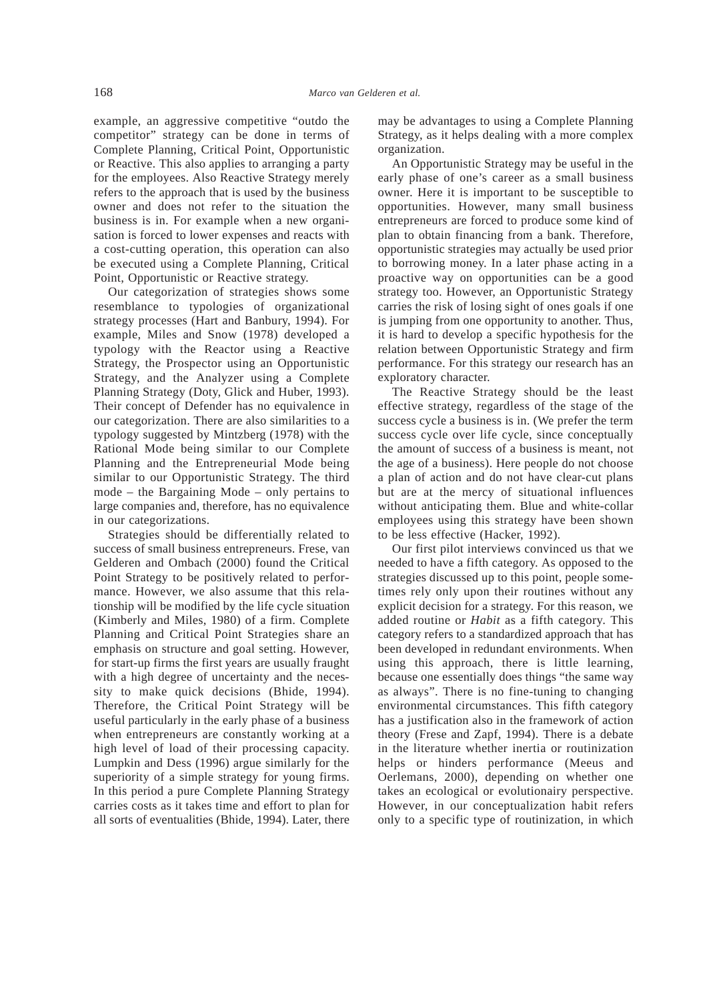example, an aggressive competitive "outdo the competitor" strategy can be done in terms of Complete Planning, Critical Point, Opportunistic or Reactive. This also applies to arranging a party for the employees. Also Reactive Strategy merely refers to the approach that is used by the business owner and does not refer to the situation the business is in. For example when a new organisation is forced to lower expenses and reacts with a cost-cutting operation, this operation can also be executed using a Complete Planning, Critical Point, Opportunistic or Reactive strategy.

Our categorization of strategies shows some resemblance to typologies of organizational strategy processes (Hart and Banbury, 1994). For example, Miles and Snow (1978) developed a typology with the Reactor using a Reactive Strategy, the Prospector using an Opportunistic Strategy, and the Analyzer using a Complete Planning Strategy (Doty, Glick and Huber, 1993). Their concept of Defender has no equivalence in our categorization. There are also similarities to a typology suggested by Mintzberg (1978) with the Rational Mode being similar to our Complete Planning and the Entrepreneurial Mode being similar to our Opportunistic Strategy. The third mode – the Bargaining Mode – only pertains to large companies and, therefore, has no equivalence in our categorizations.

Strategies should be differentially related to success of small business entrepreneurs. Frese, van Gelderen and Ombach (2000) found the Critical Point Strategy to be positively related to performance. However, we also assume that this relationship will be modified by the life cycle situation (Kimberly and Miles, 1980) of a firm. Complete Planning and Critical Point Strategies share an emphasis on structure and goal setting. However, for start-up firms the first years are usually fraught with a high degree of uncertainty and the necessity to make quick decisions (Bhide, 1994). Therefore, the Critical Point Strategy will be useful particularly in the early phase of a business when entrepreneurs are constantly working at a high level of load of their processing capacity. Lumpkin and Dess (1996) argue similarly for the superiority of a simple strategy for young firms. In this period a pure Complete Planning Strategy carries costs as it takes time and effort to plan for all sorts of eventualities (Bhide, 1994). Later, there may be advantages to using a Complete Planning Strategy, as it helps dealing with a more complex organization.

An Opportunistic Strategy may be useful in the early phase of one's career as a small business owner. Here it is important to be susceptible to opportunities. However, many small business entrepreneurs are forced to produce some kind of plan to obtain financing from a bank. Therefore, opportunistic strategies may actually be used prior to borrowing money. In a later phase acting in a proactive way on opportunities can be a good strategy too. However, an Opportunistic Strategy carries the risk of losing sight of ones goals if one is jumping from one opportunity to another. Thus, it is hard to develop a specific hypothesis for the relation between Opportunistic Strategy and firm performance. For this strategy our research has an exploratory character.

The Reactive Strategy should be the least effective strategy, regardless of the stage of the success cycle a business is in. (We prefer the term success cycle over life cycle, since conceptually the amount of success of a business is meant, not the age of a business). Here people do not choose a plan of action and do not have clear-cut plans but are at the mercy of situational influences without anticipating them. Blue and white-collar employees using this strategy have been shown to be less effective (Hacker, 1992).

Our first pilot interviews convinced us that we needed to have a fifth category. As opposed to the strategies discussed up to this point, people sometimes rely only upon their routines without any explicit decision for a strategy. For this reason, we added routine or *Habit* as a fifth category. This category refers to a standardized approach that has been developed in redundant environments. When using this approach, there is little learning, because one essentially does things "the same way as always". There is no fine-tuning to changing environmental circumstances. This fifth category has a justification also in the framework of action theory (Frese and Zapf, 1994). There is a debate in the literature whether inertia or routinization helps or hinders performance (Meeus and Oerlemans, 2000), depending on whether one takes an ecological or evolutionairy perspective. However, in our conceptualization habit refers only to a specific type of routinization, in which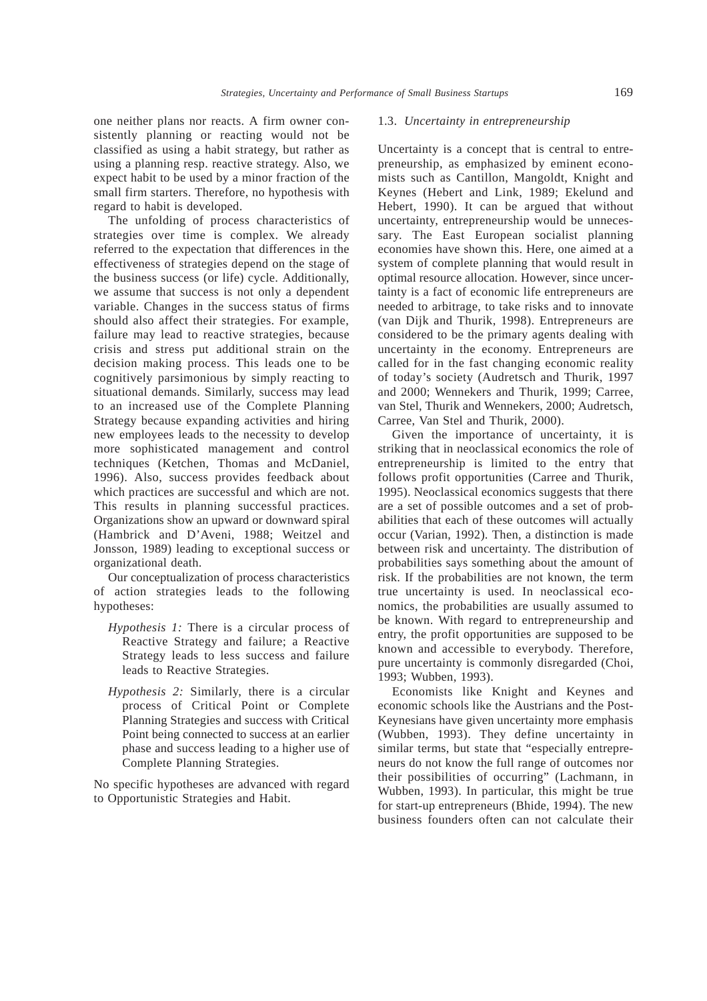one neither plans nor reacts. A firm owner consistently planning or reacting would not be classified as using a habit strategy, but rather as using a planning resp. reactive strategy. Also, we expect habit to be used by a minor fraction of the small firm starters. Therefore, no hypothesis with regard to habit is developed.

The unfolding of process characteristics of strategies over time is complex. We already referred to the expectation that differences in the effectiveness of strategies depend on the stage of the business success (or life) cycle. Additionally, we assume that success is not only a dependent variable. Changes in the success status of firms should also affect their strategies. For example, failure may lead to reactive strategies, because crisis and stress put additional strain on the decision making process. This leads one to be cognitively parsimonious by simply reacting to situational demands. Similarly, success may lead to an increased use of the Complete Planning Strategy because expanding activities and hiring new employees leads to the necessity to develop more sophisticated management and control techniques (Ketchen, Thomas and McDaniel, 1996). Also, success provides feedback about which practices are successful and which are not. This results in planning successful practices. Organizations show an upward or downward spiral (Hambrick and D'Aveni, 1988; Weitzel and Jonsson, 1989) leading to exceptional success or organizational death.

Our conceptualization of process characteristics of action strategies leads to the following hypotheses:

- *Hypothesis 1:* There is a circular process of Reactive Strategy and failure; a Reactive Strategy leads to less success and failure leads to Reactive Strategies.
- *Hypothesis 2:* Similarly, there is a circular process of Critical Point or Complete Planning Strategies and success with Critical Point being connected to success at an earlier phase and success leading to a higher use of Complete Planning Strategies.

No specific hypotheses are advanced with regard to Opportunistic Strategies and Habit.

#### 1.3. *Uncertainty in entrepreneurship*

Uncertainty is a concept that is central to entrepreneurship, as emphasized by eminent economists such as Cantillon, Mangoldt, Knight and Keynes (Hebert and Link, 1989; Ekelund and Hebert, 1990). It can be argued that without uncertainty, entrepreneurship would be unnecessary. The East European socialist planning economies have shown this. Here, one aimed at a system of complete planning that would result in optimal resource allocation. However, since uncertainty is a fact of economic life entrepreneurs are needed to arbitrage, to take risks and to innovate (van Dijk and Thurik, 1998). Entrepreneurs are considered to be the primary agents dealing with uncertainty in the economy. Entrepreneurs are called for in the fast changing economic reality of today's society (Audretsch and Thurik, 1997 and 2000; Wennekers and Thurik, 1999; Carree, van Stel, Thurik and Wennekers, 2000; Audretsch, Carree, Van Stel and Thurik, 2000).

Given the importance of uncertainty, it is striking that in neoclassical economics the role of entrepreneurship is limited to the entry that follows profit opportunities (Carree and Thurik, 1995). Neoclassical economics suggests that there are a set of possible outcomes and a set of probabilities that each of these outcomes will actually occur (Varian, 1992). Then, a distinction is made between risk and uncertainty. The distribution of probabilities says something about the amount of risk. If the probabilities are not known, the term true uncertainty is used. In neoclassical economics, the probabilities are usually assumed to be known. With regard to entrepreneurship and entry, the profit opportunities are supposed to be known and accessible to everybody. Therefore, pure uncertainty is commonly disregarded (Choi, 1993; Wubben, 1993).

Economists like Knight and Keynes and economic schools like the Austrians and the Post-Keynesians have given uncertainty more emphasis (Wubben, 1993). They define uncertainty in similar terms, but state that "especially entrepreneurs do not know the full range of outcomes nor their possibilities of occurring" (Lachmann, in Wubben, 1993). In particular, this might be true for start-up entrepreneurs (Bhide, 1994). The new business founders often can not calculate their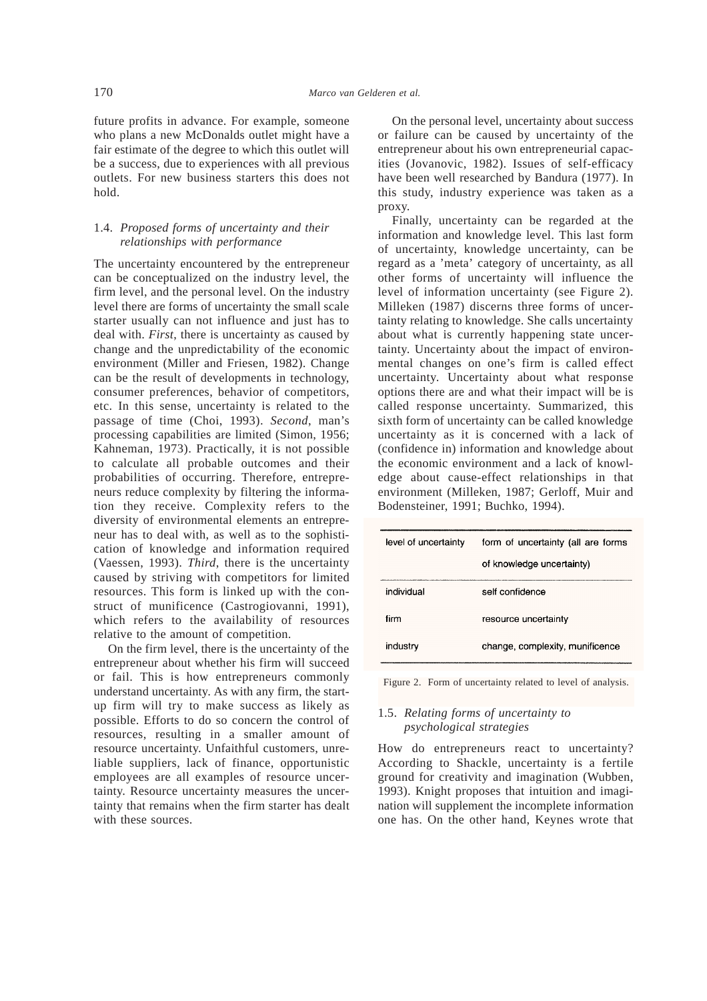future profits in advance. For example, someone who plans a new McDonalds outlet might have a fair estimate of the degree to which this outlet will be a success, due to experiences with all previous outlets. For new business starters this does not hold.

## 1.4. *Proposed forms of uncertainty and their*  1.4. *relationships with performance*

The uncertainty encountered by the entrepreneur can be conceptualized on the industry level, the firm level, and the personal level. On the industry level there are forms of uncertainty the small scale starter usually can not influence and just has to deal with. *First*, there is uncertainty as caused by change and the unpredictability of the economic environment (Miller and Friesen, 1982). Change can be the result of developments in technology, consumer preferences, behavior of competitors, etc. In this sense, uncertainty is related to the passage of time (Choi, 1993). *Second*, man's processing capabilities are limited (Simon, 1956; Kahneman, 1973). Practically, it is not possible to calculate all probable outcomes and their probabilities of occurring. Therefore, entrepreneurs reduce complexity by filtering the information they receive. Complexity refers to the diversity of environmental elements an entrepreneur has to deal with, as well as to the sophistication of knowledge and information required (Vaessen, 1993). *Third*, there is the uncertainty caused by striving with competitors for limited resources. This form is linked up with the construct of munificence (Castrogiovanni, 1991). which refers to the availability of resources relative to the amount of competition.

On the firm level, there is the uncertainty of the entrepreneur about whether his firm will succeed or fail. This is how entrepreneurs commonly understand uncertainty. As with any firm, the startup firm will try to make success as likely as possible. Efforts to do so concern the control of resources, resulting in a smaller amount of resource uncertainty. Unfaithful customers, unreliable suppliers, lack of finance, opportunistic employees are all examples of resource uncertainty. Resource uncertainty measures the uncertainty that remains when the firm starter has dealt with these sources.

On the personal level, uncertainty about success or failure can be caused by uncertainty of the entrepreneur about his own entrepreneurial capacities (Jovanovic, 1982). Issues of self-efficacy have been well researched by Bandura (1977). In this study, industry experience was taken as a proxy.

Finally, uncertainty can be regarded at the information and knowledge level. This last form of uncertainty, knowledge uncertainty, can be regard as a 'meta' category of uncertainty, as all other forms of uncertainty will influence the level of information uncertainty (see Figure 2). Milleken (1987) discerns three forms of uncertainty relating to knowledge. She calls uncertainty about what is currently happening state uncertainty. Uncertainty about the impact of environmental changes on one's firm is called effect uncertainty. Uncertainty about what response options there are and what their impact will be is called response uncertainty. Summarized, this sixth form of uncertainty can be called knowledge uncertainty as it is concerned with a lack of (confidence in) information and knowledge about the economic environment and a lack of knowledge about cause-effect relationships in that environment (Milleken, 1987; Gerloff, Muir and Bodensteiner, 1991; Buchko, 1994).

| level of uncertainty | form of uncertainty (all are forms<br>of knowledge uncertainty) |
|----------------------|-----------------------------------------------------------------|
| individual           | self confidence                                                 |
| firm                 | resource uncertainty                                            |
| industry             | change, complexity, munificence                                 |

Figure 2. Form of uncertainty related to level of analysis.

## 1.5. *Relating forms of uncertainty to*  1.4. *psychological strategies*

How do entrepreneurs react to uncertainty? According to Shackle, uncertainty is a fertile ground for creativity and imagination (Wubben, 1993). Knight proposes that intuition and imagination will supplement the incomplete information one has. On the other hand, Keynes wrote that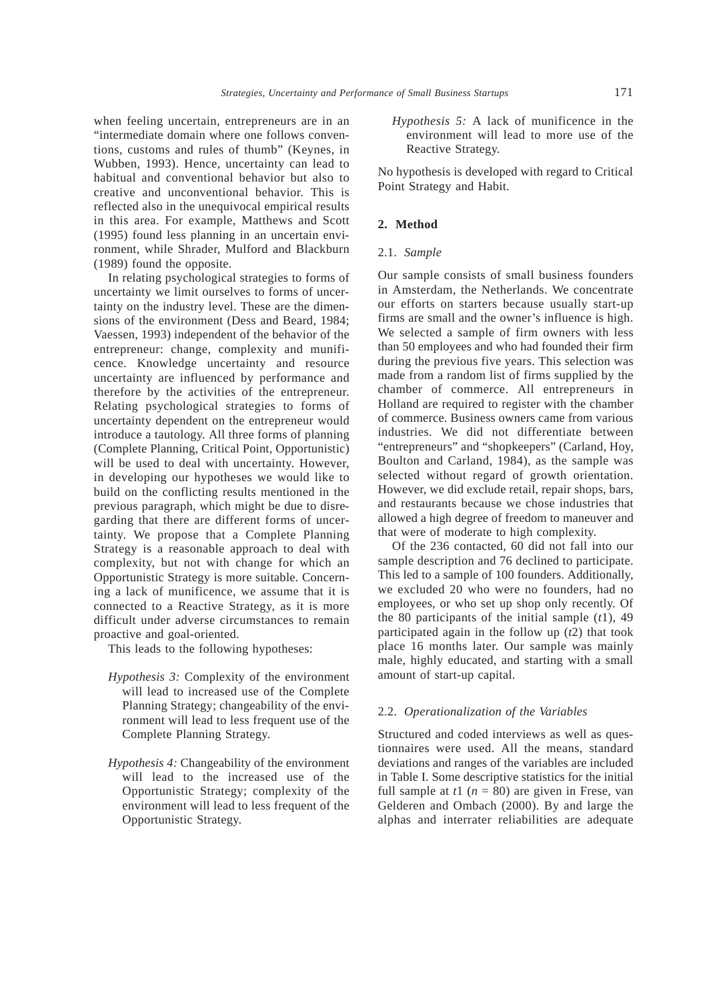when feeling uncertain, entrepreneurs are in an "intermediate domain where one follows conventions, customs and rules of thumb" (Keynes, in Wubben, 1993). Hence, uncertainty can lead to habitual and conventional behavior but also to creative and unconventional behavior. This is reflected also in the unequivocal empirical results in this area. For example, Matthews and Scott (1995) found less planning in an uncertain environment, while Shrader, Mulford and Blackburn (1989) found the opposite.

In relating psychological strategies to forms of uncertainty we limit ourselves to forms of uncertainty on the industry level. These are the dimensions of the environment (Dess and Beard, 1984; Vaessen, 1993) independent of the behavior of the entrepreneur: change, complexity and munificence. Knowledge uncertainty and resource uncertainty are influenced by performance and therefore by the activities of the entrepreneur. Relating psychological strategies to forms of uncertainty dependent on the entrepreneur would introduce a tautology. All three forms of planning (Complete Planning, Critical Point, Opportunistic) will be used to deal with uncertainty. However, in developing our hypotheses we would like to build on the conflicting results mentioned in the previous paragraph, which might be due to disregarding that there are different forms of uncertainty. We propose that a Complete Planning Strategy is a reasonable approach to deal with complexity, but not with change for which an Opportunistic Strategy is more suitable. Concerning a lack of munificence, we assume that it is connected to a Reactive Strategy, as it is more difficult under adverse circumstances to remain proactive and goal-oriented.

This leads to the following hypotheses:

- *Hypothesis 3:* Complexity of the environment will lead to increased use of the Complete Planning Strategy; changeability of the environment will lead to less frequent use of the Complete Planning Strategy.
- *Hypothesis 4:* Changeability of the environment will lead to the increased use of the Opportunistic Strategy; complexity of the environment will lead to less frequent of the Opportunistic Strategy.

*Hypothesis 5:* A lack of munificence in the environment will lead to more use of the Reactive Strategy.

No hypothesis is developed with regard to Critical Point Strategy and Habit.

#### **2. Method**

#### 2.1. *Sample*

Our sample consists of small business founders in Amsterdam, the Netherlands. We concentrate our efforts on starters because usually start-up firms are small and the owner's influence is high. We selected a sample of firm owners with less than 50 employees and who had founded their firm during the previous five years. This selection was made from a random list of firms supplied by the chamber of commerce. All entrepreneurs in Holland are required to register with the chamber of commerce. Business owners came from various industries. We did not differentiate between "entrepreneurs" and "shopkeepers" (Carland, Hoy, Boulton and Carland, 1984), as the sample was selected without regard of growth orientation. However, we did exclude retail, repair shops, bars, and restaurants because we chose industries that allowed a high degree of freedom to maneuver and that were of moderate to high complexity.

Of the 236 contacted, 60 did not fall into our sample description and 76 declined to participate. This led to a sample of 100 founders. Additionally, we excluded 20 who were no founders, had no employees, or who set up shop only recently. Of the 80 participants of the initial sample (*t*1), 49 participated again in the follow up (*t*2) that took place 16 months later. Our sample was mainly male, highly educated, and starting with a small amount of start-up capital.

### 2.2. *Operationalization of the Variables*

Structured and coded interviews as well as questionnaires were used. All the means, standard deviations and ranges of the variables are included in Table I. Some descriptive statistics for the initial full sample at  $t1$  ( $n = 80$ ) are given in Frese, van Gelderen and Ombach (2000). By and large the alphas and interrater reliabilities are adequate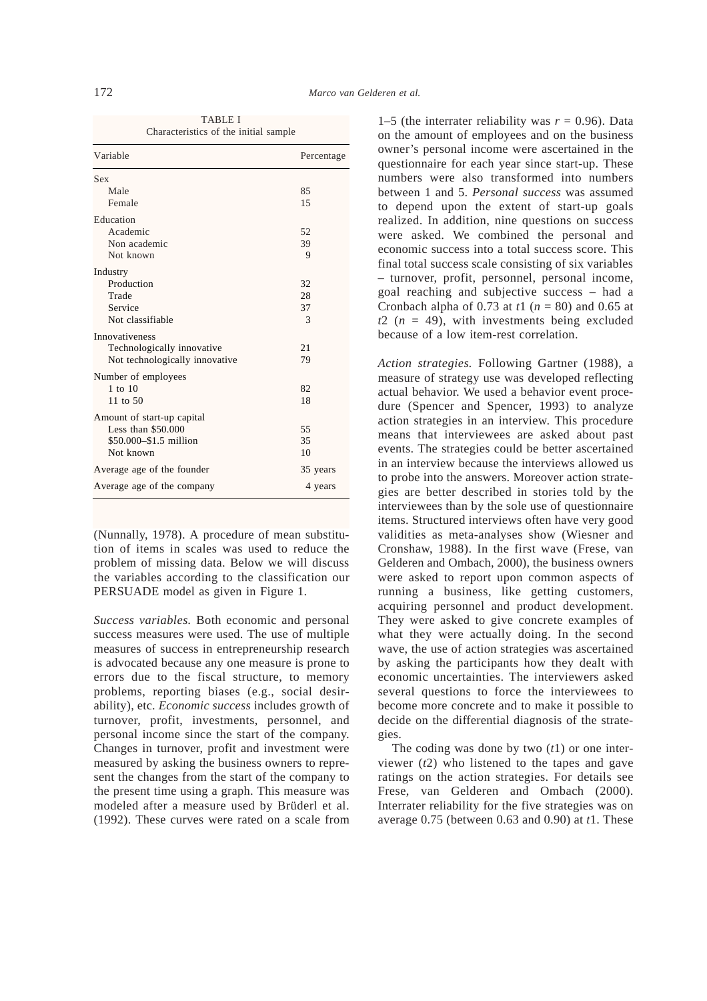TABLE I Characteristics of the initial sample

| Variable                       | Percentage |
|--------------------------------|------------|
| Sex                            |            |
| Male                           | 85         |
| Female                         | 15         |
| Education                      |            |
| Academic                       | 52         |
| Non academic                   | 39         |
| Not known                      | 9          |
| Industry                       |            |
| Production                     | 32         |
| Trade                          | 28         |
| Service                        | 37         |
| Not classifiable               | 3          |
| Innovativeness                 |            |
| Technologically innovative     | 21         |
| Not technologically innovative | 79         |
| Number of employees            |            |
| $1$ to $10$                    | 82         |
| 11 to 50                       | 18         |
| Amount of start-up capital     |            |
| Less than \$50.000             | 55         |
| \$50.000-\$1.5 million         | 35         |
| Not known                      | 10         |
| Average age of the founder     | 35 years   |
| Average age of the company     | 4 years    |
|                                |            |

(Nunnally, 1978). A procedure of mean substitution of items in scales was used to reduce the problem of missing data. Below we will discuss the variables according to the classification our PERSUADE model as given in Figure 1.

*Success variables.* Both economic and personal success measures were used. The use of multiple measures of success in entrepreneurship research is advocated because any one measure is prone to errors due to the fiscal structure, to memory problems, reporting biases (e.g., social desirability), etc. *Economic success* includes growth of turnover, profit, investments, personnel, and personal income since the start of the company. Changes in turnover, profit and investment were measured by asking the business owners to represent the changes from the start of the company to the present time using a graph. This measure was modeled after a measure used by Brüderl et al. (1992). These curves were rated on a scale from

1–5 (the interrater reliability was  $r = 0.96$ ). Data on the amount of employees and on the business owner's personal income were ascertained in the questionnaire for each year since start-up. These numbers were also transformed into numbers between 1 and 5. *Personal success* was assumed to depend upon the extent of start-up goals realized. In addition, nine questions on success were asked. We combined the personal and economic success into a total success score. This final total success scale consisting of six variables – turnover, profit, personnel, personal income, goal reaching and subjective success – had a Cronbach alpha of 0.73 at  $t1$  ( $n = 80$ ) and 0.65 at  $t^2$  ( $n = 49$ ), with investments being excluded because of a low item-rest correlation.

*Action strategies.* Following Gartner (1988), a measure of strategy use was developed reflecting actual behavior. We used a behavior event procedure (Spencer and Spencer, 1993) to analyze action strategies in an interview. This procedure means that interviewees are asked about past events. The strategies could be better ascertained in an interview because the interviews allowed us to probe into the answers. Moreover action strategies are better described in stories told by the interviewees than by the sole use of questionnaire items. Structured interviews often have very good validities as meta-analyses show (Wiesner and Cronshaw, 1988). In the first wave (Frese, van Gelderen and Ombach, 2000), the business owners were asked to report upon common aspects of running a business, like getting customers, acquiring personnel and product development. They were asked to give concrete examples of what they were actually doing. In the second wave, the use of action strategies was ascertained by asking the participants how they dealt with economic uncertainties. The interviewers asked several questions to force the interviewees to become more concrete and to make it possible to decide on the differential diagnosis of the strategies.

The coding was done by two (*t*1) or one interviewer (*t*2) who listened to the tapes and gave ratings on the action strategies. For details see Frese, van Gelderen and Ombach (2000). Interrater reliability for the five strategies was on average 0.75 (between 0.63 and 0.90) at *t*1. These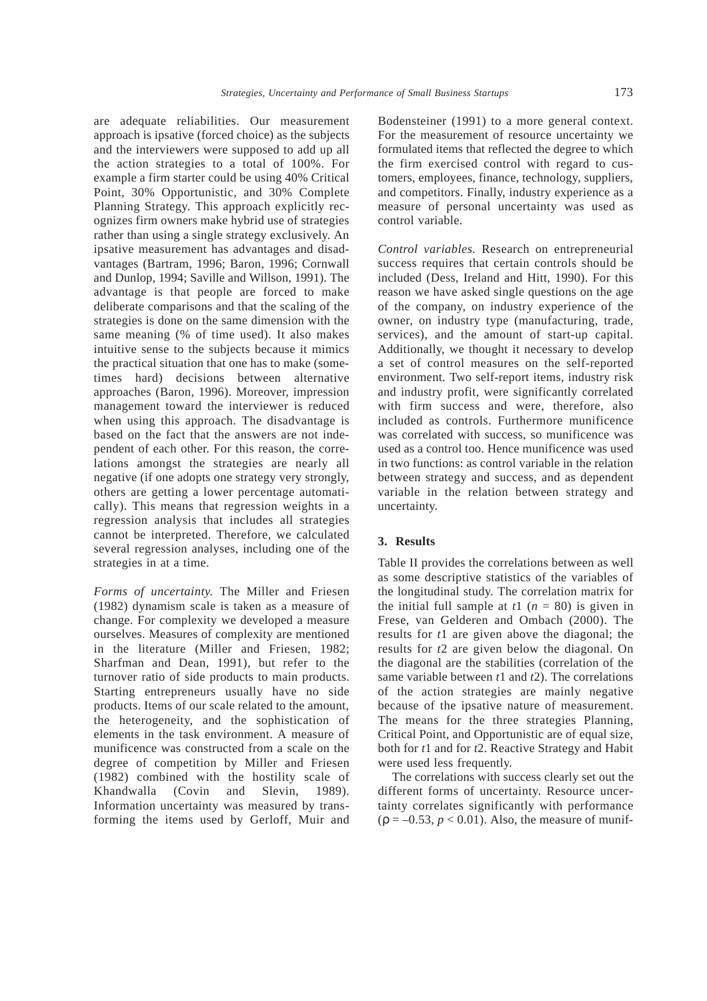are adequate reliabilities. Our measurement approach is ipsative (forced choice) as the subjects and the interviewers were supposed to add up all the action strategies to a total of 100%. For example a firm starter could be using 40% Critical Point, 30% Opportunistic, and 30% Complete Planning Strategy. This approach explicitly recognizes firm owners make hybrid use of strategies rather than using a single strategy exclusively. An ipsative measurement has advantages and disadvantages (Bartram, 1996; Baron, 1996; Cornwall and Dunlop, 1994; Saville and Willson, 1991). The advantage is that people are forced to make deliberate comparisons and that the scaling of the strategies is done on the same dimension with the same meaning (% of time used). It also makes intuitive sense to the subjects because it mimics the practical situation that one has to make (sometimes hard) decisions between alternative approaches (Baron, 1996). Moreover, impression management toward the interviewer is reduced when using this approach. The disadvantage is based on the fact that the answers are not independent of each other. For this reason, the correlations amongst the strategies are nearly all negative (if one adopts one strategy very strongly, others are getting a lower percentage automatically). This means that regression weights in a regression analysis that includes all strategies cannot be interpreted. Therefore, we calculated several regression analyses, including one of the strategies in at a time.

*Forms of uncertainty.* The Miller and Friesen (1982) dynamism scale is taken as a measure of change. For complexity we developed a measure ourselves. Measures of complexity are mentioned in the literature (Miller and Friesen, 1982; Sharfman and Dean, 1991), but refer to the turnover ratio of side products to main products. Starting entrepreneurs usually have no side products. Items of our scale related to the amount, the heterogeneity, and the sophistication of elements in the task environment. A measure of munificence was constructed from a scale on the degree of competition by Miller and Friesen (1982) combined with the hostility scale of Khandwalla (Covin and Slevin, 1989). Information uncertainty was measured by transforming the items used by Gerloff, Muir and Bodensteiner (1991) to a more general context. For the measurement of resource uncertainty we formulated items that reflected the degree to which the firm exercised control with regard to customers, employees, finance, technology, suppliers, and competitors. Finally, industry experience as a measure of personal uncertainty was used as control variable.

*Control variables.* Research on entrepreneurial success requires that certain controls should be included (Dess, Ireland and Hitt, 1990). For this reason we have asked single questions on the age of the company, on industry experience of the owner, on industry type (manufacturing, trade, services), and the amount of start-up capital. Additionally, we thought it necessary to develop a set of control measures on the self-reported environment. Two self-report items, industry risk and industry profit, were significantly correlated with firm success and were, therefore, also included as controls. Furthermore munificence was correlated with success, so munificence was used as a control too. Hence munificence was used in two functions: as control variable in the relation between strategy and success, and as dependent variable in the relation between strategy and uncertainty.

## **3. Results**

Table II provides the correlations between as well as some descriptive statistics of the variables of the longitudinal study. The correlation matrix for the initial full sample at  $t_1$  ( $n = 80$ ) is given in Frese, van Gelderen and Ombach (2000). The results for *t*1 are given above the diagonal; the results for *t*2 are given below the diagonal. On the diagonal are the stabilities (correlation of the same variable between *t*1 and *t*2). The correlations of the action strategies are mainly negative because of the ipsative nature of measurement. The means for the three strategies Planning, Critical Point, and Opportunistic are of equal size, both for *t*1 and for *t*2. Reactive Strategy and Habit were used less frequently.

The correlations with success clearly set out the different forms of uncertainty. Resource uncertainty correlates significantly with performance  $(p = -0.53, p < 0.01)$ . Also, the measure of munif-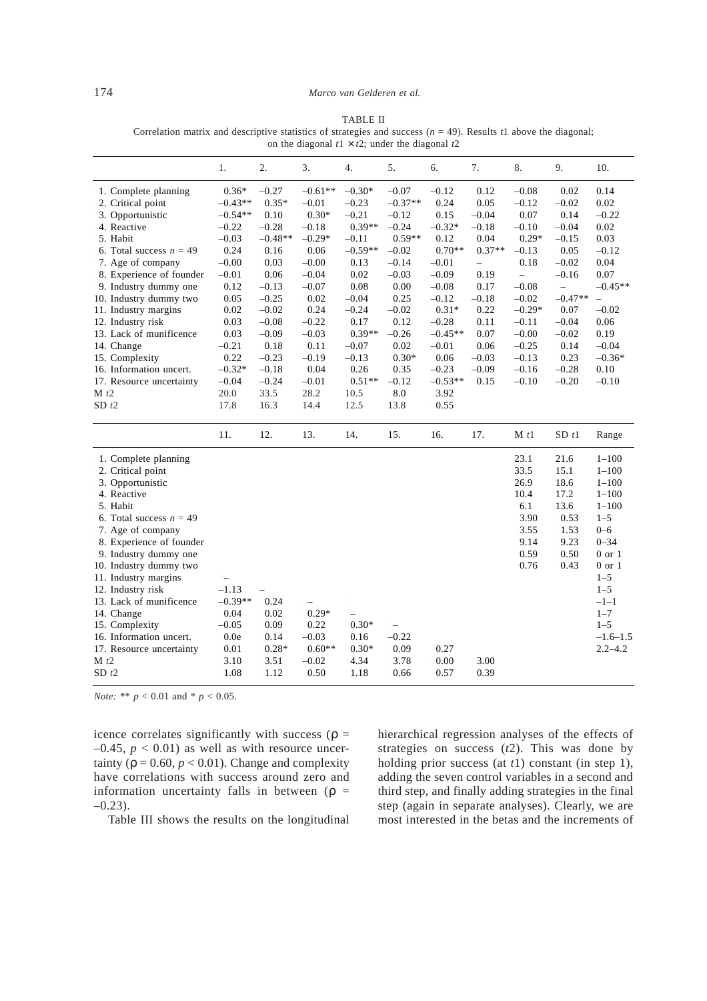| <b>TABLE II</b>                                                                                                     |
|---------------------------------------------------------------------------------------------------------------------|
| Correlation matrix and descriptive statistics of strategies and success $(n = 49)$ . Results t1 above the diagonal; |
| on the diagonal $t \to t^2$ ; under the diagonal $t^2$                                                              |

|                                                   | 1.                       | 2.        | 3.              | 4.        | 5.        | 6.        | 7.           | 8.                       | 9.                       | 10.          |
|---------------------------------------------------|--------------------------|-----------|-----------------|-----------|-----------|-----------|--------------|--------------------------|--------------------------|--------------|
| 1. Complete planning                              | $0.36*$                  | $-0.27$   | $-0.61**$       | $-0.30*$  | $-0.07$   | $-0.12$   | 0.12         | $-0.08$                  | 0.02                     | 0.14         |
| 2. Critical point                                 | $-0.43**$                | $0.35*$   | $-0.01$         | $-0.23$   | $-0.37**$ | 0.24      | 0.05         | $-0.12$                  | $-0.02$                  | 0.02         |
| 3. Opportunistic                                  | $-0.54**$                | 0.10      | $0.30*$         | $-0.21$   | $-0.12$   | 0.15      | $-0.04$      | 0.07                     | 0.14                     | $-0.22$      |
| 4. Reactive                                       | $-0.22$                  | $-0.28$   | $-0.18$         | $0.39**$  | $-0.24$   | $-0.32*$  | $-0.18$      | $-0.10$                  | $-0.04$                  | 0.02         |
| 5. Habit                                          | $-0.03$                  | $-0.48**$ | $-0.29*$        | $-0.11$   | $0.59**$  | 0.12      | 0.04         | $0.29*$                  | $-0.15$                  | 0.03         |
| 6. Total success $n = 49$                         | 0.24                     | 0.16      | 0.06            | $-0.59**$ | $-0.02$   | $0.70**$  | $0.37**$     | $-0.13$                  | 0.05                     | $-0.12$      |
| 7. Age of company                                 | $-0.00$                  | 0.03      | $-0.00$         | 0.13      | $-0.14$   | $-0.01$   | $\equiv$     | 0.18                     | $-0.02$                  | 0.04         |
| 8. Experience of founder                          | $-0.01$                  | 0.06      | $-0.04$         | 0.02      | $-0.03$   | $-0.09$   | 0.19         | $\overline{\phantom{0}}$ | $-0.16$                  | 0.07         |
| 9. Industry dummy one                             | 0.12                     | $-0.13$   | $-0.07$         | 0.08      | 0.00      | $-0.08$   | 0.17         | $-0.08$                  | $\overline{\phantom{0}}$ | $-0.45**$    |
| 10. Industry dummy two                            | 0.05                     | $-0.25$   | 0.02            | $-0.04$   | 0.25      | $-0.12$   | $-0.18$      | $-0.02$                  | $-0.47**$                | $=$          |
| 11. Industry margins                              | 0.02                     | $-0.02$   | 0.24            | $-0.24$   | $-0.02$   | $0.31*$   | 0.22         | $-0.29*$                 | 0.07                     | $-0.02$      |
| 12. Industry risk                                 | 0.03                     | $-0.08$   | $-0.22$         | 0.17      | 0.12      | $-0.28$   | 0.11         | $-0.11$                  | $-0.04$                  | 0.06         |
| 13. Lack of munificence                           | 0.03                     | $-0.09$   | $-0.03$         | $0.39**$  | $-0.26$   | $-0.45**$ | 0.07         | $-0.00$                  | $-0.02$                  | 0.19         |
| 14. Change                                        | $-0.21$                  | 0.18      | 0.11            | $-0.07$   | 0.02      | $-0.01$   | 0.06         | $-0.25$                  | 0.14                     | $-0.04$      |
| 15. Complexity                                    | 0.22                     | $-0.23$   | $-0.19$         | $-0.13$   | $0.30*$   | 0.06      | $-0.03$      | $-0.13$                  | 0.23                     | $-0.36*$     |
| 16. Information uncert.                           | $-0.32*$                 | $-0.18$   | 0.04            | 0.26      | 0.35      | $-0.23$   | $-0.09$      | $-0.16$                  | $-0.28$                  | 0.10         |
| 17. Resource uncertainty                          | $-0.04$                  | $-0.24$   | $-0.01$         | $0.51**$  | $-0.12$   | $-0.53**$ | 0.15         | $-0.10$                  | $-0.20$                  | $-0.10$      |
| M <sub>t2</sub>                                   | 20.0                     | 33.5      | 28.2            | 10.5      | 8.0       | 3.92      |              |                          |                          |              |
| SD t2                                             | 17.8                     | 16.3      | 14.4            | 12.5      | 13.8      | 0.55      |              |                          |                          |              |
|                                                   |                          |           |                 |           |           |           |              |                          |                          |              |
|                                                   |                          |           |                 |           |           |           |              |                          |                          |              |
|                                                   | 11.                      | 12.       | 13.             | 14.       | 15.       | 16.       | 17.          | $M$ t1                   | $SD$ $t1$                | Range        |
| 1. Complete planning                              |                          |           |                 |           |           |           |              | 23.1                     | 21.6                     | $1 - 100$    |
| 2. Critical point                                 |                          |           |                 |           |           |           |              | 33.5                     | 15.1                     | $1 - 100$    |
| 3. Opportunistic                                  |                          |           |                 |           |           |           |              | 26.9                     | 18.6                     | $1 - 100$    |
| 4. Reactive                                       |                          |           |                 |           |           |           |              | 10.4                     | 17.2                     | $1 - 100$    |
| 5. Habit                                          |                          |           |                 |           |           |           |              | 6.1                      | 13.6                     | $1 - 100$    |
| 6. Total success $n = 49$                         |                          |           |                 |           |           |           |              | 3.90                     | 0.53                     | $1 - 5$      |
| 7. Age of company                                 |                          |           |                 |           |           |           |              | 3.55                     | 1.53                     | $0 - 6$      |
|                                                   |                          |           |                 |           |           |           |              | 9.14                     | 9.23                     | $0 - 34$     |
| 8. Experience of founder<br>9. Industry dummy one |                          |           |                 |           |           |           |              | 0.59                     | 0.50                     | $0$ or $1$   |
| 10. Industry dummy two                            |                          |           |                 |           |           |           |              | 0.76                     | 0.43                     | $0$ or $1$   |
| 11. Industry margins                              | $\overline{\phantom{0}}$ |           |                 |           |           |           |              |                          |                          | $1 - 5$      |
| 12. Industry risk                                 | $-1.13$                  |           |                 |           |           |           |              |                          |                          | $1 - 5$      |
| 13. Lack of munificence                           | $-0.39**$                | 0.24      |                 |           |           |           |              |                          |                          | $-1-1$       |
| 14. Change                                        | 0.04                     | 0.02      | $0.29*$         |           |           |           |              |                          |                          | $1 - 7$      |
| 15. Complexity                                    | $-0.05$                  | 0.09      | 0.22            | $0.30*$   |           |           |              |                          |                          | $1 - 5$      |
| 16. Information uncert.                           | 0.0e                     | 0.14      | $-0.03$         | 0.16      | $-0.22$   |           |              |                          |                          | $-1.6 - 1.5$ |
| 17. Resource uncertainty                          | 0.01                     | $0.28*$   | $0.60**$        | $0.30*$   | 0.09      | 0.27      |              |                          |                          | $2.2 - 4.2$  |
| M <sub>t2</sub>                                   | 3.10                     | 3.51      | $-0.02$<br>0.50 | 4.34      | 3.78      | 0.00      | 3.00<br>0.39 |                          |                          |              |

*Note:* \*\* *p* < 0.01 and \* *p* < 0.05.

icence correlates significantly with success ( $\rho =$  $-0.45$ ,  $p < 0.01$ ) as well as with resource uncertainty ( $\rho = 0.60$ ,  $p < 0.01$ ). Change and complexity have correlations with success around zero and information uncertainty falls in between ( $\rho =$  $-0.23$ ).

Table III shows the results on the longitudinal

hierarchical regression analyses of the effects of strategies on success (*t*2). This was done by holding prior success (at *t*1) constant (in step 1), adding the seven control variables in a second and third step, and finally adding strategies in the final step (again in separate analyses). Clearly, we are most interested in the betas and the increments of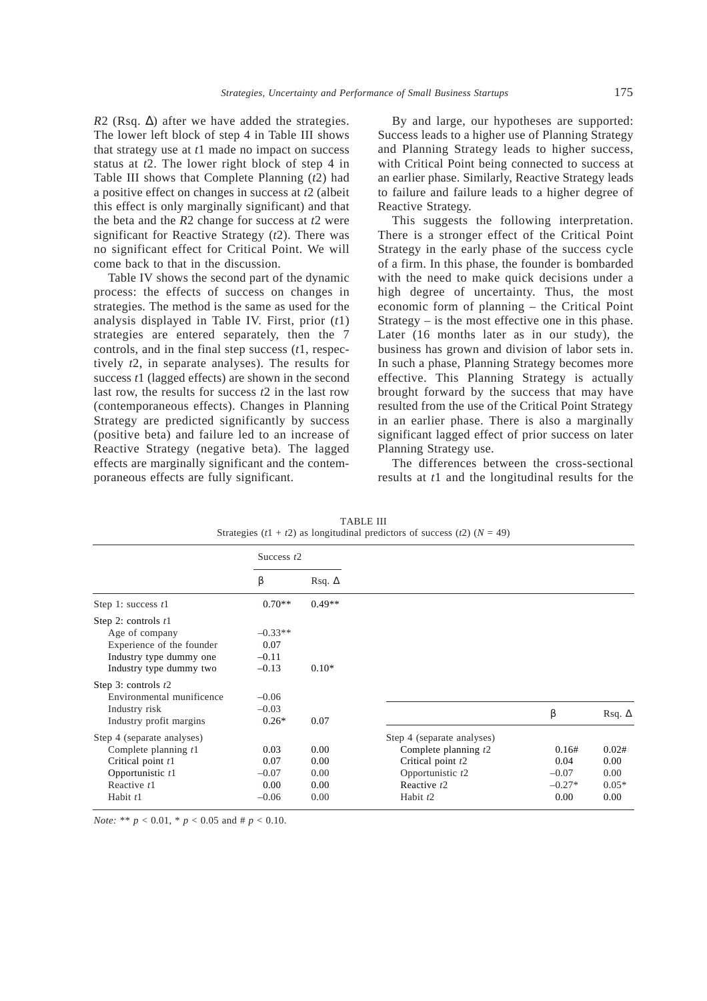*R*2 (Rsq.  $\Delta$ ) after we have added the strategies. The lower left block of step 4 in Table III shows that strategy use at *t*1 made no impact on success status at *t*2. The lower right block of step 4 in Table III shows that Complete Planning (*t*2) had a positive effect on changes in success at *t*2 (albeit this effect is only marginally significant) and that the beta and the *R*2 change for success at *t*2 were significant for Reactive Strategy (*t*2). There was no significant effect for Critical Point. We will come back to that in the discussion.

Table IV shows the second part of the dynamic process: the effects of success on changes in strategies. The method is the same as used for the analysis displayed in Table IV. First, prior (*t*1) strategies are entered separately, then the 7 controls, and in the final step success (*t*1, respectively *t*2, in separate analyses). The results for success *t*1 (lagged effects) are shown in the second last row, the results for success *t*2 in the last row (contemporaneous effects). Changes in Planning Strategy are predicted significantly by success (positive beta) and failure led to an increase of Reactive Strategy (negative beta). The lagged effects are marginally significant and the contemporaneous effects are fully significant.

By and large, our hypotheses are supported: Success leads to a higher use of Planning Strategy and Planning Strategy leads to higher success, with Critical Point being connected to success at an earlier phase. Similarly, Reactive Strategy leads to failure and failure leads to a higher degree of Reactive Strategy.

This suggests the following interpretation. There is a stronger effect of the Critical Point Strategy in the early phase of the success cycle of a firm. In this phase, the founder is bombarded with the need to make quick decisions under a high degree of uncertainty. Thus, the most economic form of planning – the Critical Point Strategy – is the most effective one in this phase. Later (16 months later as in our study), the business has grown and division of labor sets in. In such a phase, Planning Strategy becomes more effective. This Planning Strategy is actually brought forward by the success that may have resulted from the use of the Critical Point Strategy in an earlier phase. There is also a marginally significant lagged effect of prior success on later Planning Strategy use.

The differences between the cross-sectional results at *t*1 and the longitudinal results for the

|                            | Success $t2$ |               |                            |          |               |
|----------------------------|--------------|---------------|----------------------------|----------|---------------|
|                            | β            | Rsq. $\Delta$ |                            |          |               |
| Step 1: success $t1$       | $0.70**$     | $0.49**$      |                            |          |               |
| Step 2: controls $t1$      |              |               |                            |          |               |
| Age of company             | $-0.33**$    |               |                            |          |               |
| Experience of the founder  | 0.07         |               |                            |          |               |
| Industry type dummy one    | $-0.11$      |               |                            |          |               |
| Industry type dummy two    | $-0.13$      | $0.10*$       |                            |          |               |
| Step 3: controls $t2$      |              |               |                            |          |               |
| Environmental munificence  | $-0.06$      |               |                            |          |               |
| Industry risk              | $-0.03$      |               |                            |          |               |
| Industry profit margins    | $0.26*$      | 0.07          |                            | β        | Rsq. $\Delta$ |
| Step 4 (separate analyses) |              |               | Step 4 (separate analyses) |          |               |
| Complete planning $t1$     | 0.03         | 0.00          | Complete planning $t2$     | 0.16#    | 0.02#         |
| Critical point $t1$        | 0.07         | 0.00          | Critical point t2          | 0.04     | 0.00          |
| Opportunistic $t1$         | $-0.07$      | 0.00          | Opportunistic $t2$         | $-0.07$  | 0.00          |
| Reactive $t1$              | 0.00         | 0.00          | Reactive $t2$              | $-0.27*$ | $0.05*$       |
| Habit $t1$                 | $-0.06$      | 0.00          | Habit $t2$                 | 0.00     | 0.00          |

TABLE III Strategies  $(t1 + t2)$  as longitudinal predictors of success  $(t2)$   $(N = 49)$ 

*Note:* \*\*  $p < 0.01$ , \*  $p < 0.05$  and #  $p < 0.10$ .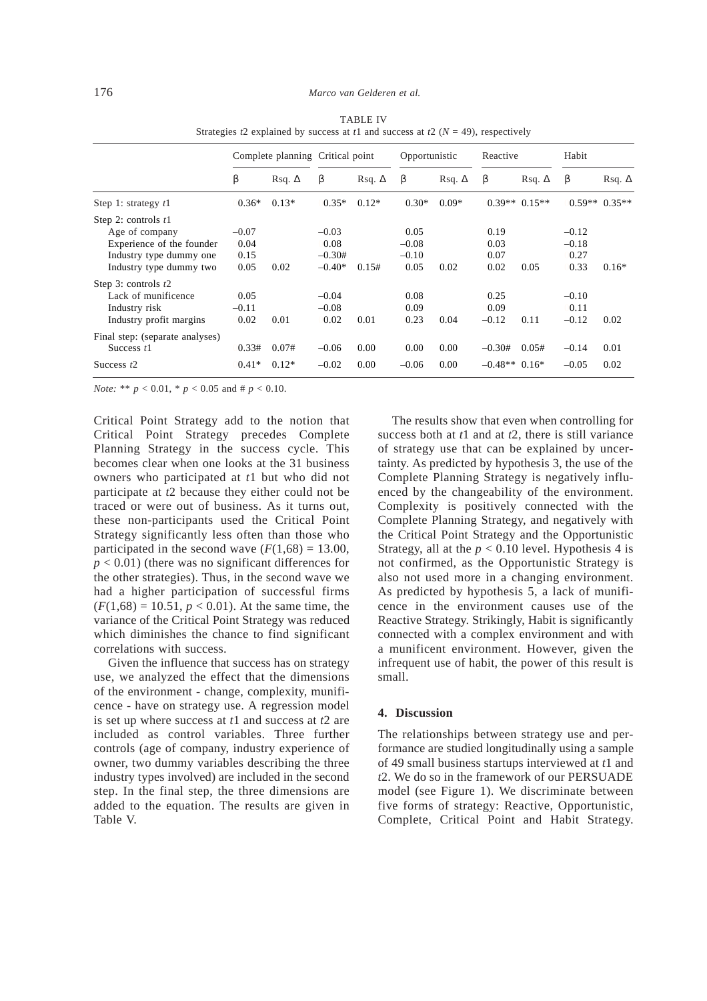|                                 | Complete planning Critical point |               |          |               | Opportunistic |               | Reactive       |                | Habit    |               |
|---------------------------------|----------------------------------|---------------|----------|---------------|---------------|---------------|----------------|----------------|----------|---------------|
|                                 | β                                | Rsq. $\Delta$ | β        | Rsq. $\Delta$ | β             | Rsq. $\Delta$ | β              | Rsq. $\Delta$  | β        | Rsq. $\Delta$ |
| Step 1: strategy $t1$           | $0.36*$                          | $0.13*$       | $0.35*$  | $0.12*$       | $0.30*$       | $0.09*$       |                | $0.39**0.15**$ | $0.59**$ | $0.35**$      |
| Step 2: controls $t1$           |                                  |               |          |               |               |               |                |                |          |               |
| Age of company                  | $-0.07$                          |               | $-0.03$  |               | 0.05          |               | 0.19           |                | $-0.12$  |               |
| Experience of the founder       | 0.04                             |               | 0.08     |               | $-0.08$       |               | 0.03           |                | $-0.18$  |               |
| Industry type dummy one         | 0.15                             |               | $-0.30#$ |               | $-0.10$       |               | 0.07           |                | 0.27     |               |
| Industry type dummy two         | 0.05                             | 0.02          | $-0.40*$ | 0.15#         | 0.05          | 0.02          | 0.02           | 0.05           | 0.33     | $0.16*$       |
| Step 3: controls $t2$           |                                  |               |          |               |               |               |                |                |          |               |
| Lack of munificence             | 0.05                             |               | $-0.04$  |               | 0.08          |               | 0.25           |                | $-0.10$  |               |
| Industry risk                   | $-0.11$                          |               | $-0.08$  |               | 0.09          |               | 0.09           |                | 0.11     |               |
| Industry profit margins         | 0.02                             | 0.01          | 0.02     | 0.01          | 0.23          | 0.04          | $-0.12$        | 0.11           | $-0.12$  | 0.02          |
| Final step: (separate analyses) |                                  |               |          |               |               |               |                |                |          |               |
| Success $t1$                    | 0.33#                            | 0.07#         | $-0.06$  | 0.00          | 0.00          | 0.00          | $-0.30#$       | 0.05#          | $-0.14$  | 0.01          |
| Success $t2$                    | $0.41*$                          | $0.12*$       | $-0.02$  | 0.00          | $-0.06$       | 0.00          | $-0.48**0.16*$ |                | $-0.05$  | 0.02          |

TABLE IV Strategies *t*2 explained by success at *t*1 and success at *t*2 ( $N = 49$ ), respectively

*Note:* \*\*  $p < 0.01$ , \*  $p < 0.05$  and #  $p < 0.10$ .

Critical Point Strategy add to the notion that Critical Point Strategy precedes Complete Planning Strategy in the success cycle. This becomes clear when one looks at the 31 business owners who participated at *t*1 but who did not participate at *t*2 because they either could not be traced or were out of business. As it turns out, these non-participants used the Critical Point Strategy significantly less often than those who participated in the second wave  $(F(1,68) = 13.00,$  $p < 0.01$ ) (there was no significant differences for the other strategies). Thus, in the second wave we had a higher participation of successful firms  $(F(1.68) = 10.51, p < 0.01)$ . At the same time, the variance of the Critical Point Strategy was reduced which diminishes the chance to find significant correlations with success.

Given the influence that success has on strategy use, we analyzed the effect that the dimensions of the environment - change, complexity, munificence - have on strategy use. A regression model is set up where success at *t*1 and success at *t*2 are included as control variables. Three further controls (age of company, industry experience of owner, two dummy variables describing the three industry types involved) are included in the second step. In the final step, the three dimensions are added to the equation. The results are given in Table V.

The results show that even when controlling for success both at *t*1 and at *t*2, there is still variance of strategy use that can be explained by uncertainty. As predicted by hypothesis 3, the use of the Complete Planning Strategy is negatively influenced by the changeability of the environment. Complexity is positively connected with the Complete Planning Strategy, and negatively with the Critical Point Strategy and the Opportunistic Strategy, all at the  $p < 0.10$  level. Hypothesis 4 is not confirmed, as the Opportunistic Strategy is also not used more in a changing environment. As predicted by hypothesis 5, a lack of munificence in the environment causes use of the Reactive Strategy. Strikingly, Habit is significantly connected with a complex environment and with a munificent environment. However, given the infrequent use of habit, the power of this result is small.

## **4. Discussion**

The relationships between strategy use and performance are studied longitudinally using a sample of 49 small business startups interviewed at *t*1 and *t*2. We do so in the framework of our PERSUADE model (see Figure 1). We discriminate between five forms of strategy: Reactive, Opportunistic, Complete, Critical Point and Habit Strategy.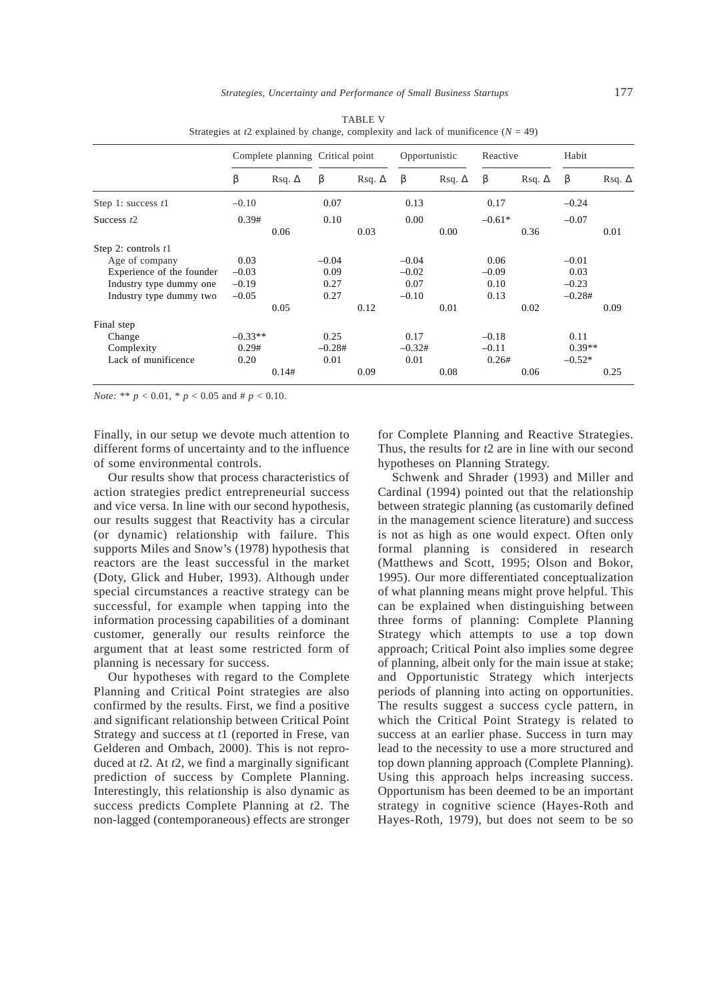|                           | Complete planning Critical point |               |          |               | Opportunistic |               | Reactive |               | Habit    |               |
|---------------------------|----------------------------------|---------------|----------|---------------|---------------|---------------|----------|---------------|----------|---------------|
|                           | β                                | Rsq. $\Delta$ | β        | Rsq. $\Delta$ | β             | Rsq. $\Delta$ | β        | Rsq. $\Delta$ | β        | Rsq. $\Delta$ |
| Step 1: success $t1$      | $-0.10$                          |               | 0.07     |               | 0.13          |               | 0.17     |               | $-0.24$  |               |
| Success $t2$              | 0.39#                            |               | 0.10     |               | 0.00          |               | $-0.61*$ |               | $-0.07$  |               |
|                           |                                  | 0.06          |          | 0.03          |               | 0.00          |          | 0.36          |          | 0.01          |
| Step 2: controls $t1$     |                                  |               |          |               |               |               |          |               |          |               |
| Age of company            | 0.03                             |               | $-0.04$  |               | $-0.04$       |               | 0.06     |               | $-0.01$  |               |
| Experience of the founder | $-0.03$                          |               | 0.09     |               | $-0.02$       |               | $-0.09$  |               | 0.03     |               |
| Industry type dummy one   | $-0.19$                          |               | 0.27     |               | 0.07          |               | 0.10     |               | $-0.23$  |               |
| Industry type dummy two   | $-0.05$                          |               | 0.27     |               | $-0.10$       |               | 0.13     |               | $-0.28#$ |               |
|                           |                                  | 0.05          |          | 0.12          |               | 0.01          |          | 0.02          |          | 0.09          |
| Final step                |                                  |               |          |               |               |               |          |               |          |               |
| Change                    | $-0.33**$                        |               | 0.25     |               | 0.17          |               | $-0.18$  |               | 0.11     |               |
| Complexity                | 0.29#                            |               | $-0.28#$ |               | $-0.32#$      |               | $-0.11$  |               | $0.39**$ |               |
| Lack of munificence       | 0.20                             |               | 0.01     |               | 0.01          |               | 0.26#    |               | $-0.52*$ |               |
|                           |                                  | 0.14#         |          | 0.09          |               | 0.08          |          | 0.06          |          | 0.25          |

TABLE V Strategies at  $t^2$  explained by change, complexity and lack of munificence  $(N = 49)$ 

*Note:* \*\*  $p < 0.01$ , \*  $p < 0.05$  and #  $p < 0.10$ .

Finally, in our setup we devote much attention to different forms of uncertainty and to the influence of some environmental controls.

Our results show that process characteristics of action strategies predict entrepreneurial success and vice versa. In line with our second hypothesis, our results suggest that Reactivity has a circular (or dynamic) relationship with failure. This supports Miles and Snow's (1978) hypothesis that reactors are the least successful in the market (Doty, Glick and Huber, 1993). Although under special circumstances a reactive strategy can be successful, for example when tapping into the information processing capabilities of a dominant customer, generally our results reinforce the argument that at least some restricted form of planning is necessary for success.

Our hypotheses with regard to the Complete Planning and Critical Point strategies are also confirmed by the results. First, we find a positive and significant relationship between Critical Point Strategy and success at *t*1 (reported in Frese, van Gelderen and Ombach, 2000). This is not reproduced at *t*2. At *t*2, we find a marginally significant prediction of success by Complete Planning. Interestingly, this relationship is also dynamic as success predicts Complete Planning at *t*2. The non-lagged (contemporaneous) effects are stronger

for Complete Planning and Reactive Strategies. Thus, the results for *t*2 are in line with our second hypotheses on Planning Strategy.

Schwenk and Shrader (1993) and Miller and Cardinal (1994) pointed out that the relationship between strategic planning (as customarily defined in the management science literature) and success is not as high as one would expect. Often only formal planning is considered in research (Matthews and Scott, 1995; Olson and Bokor, 1995). Our more differentiated conceptualization of what planning means might prove helpful. This can be explained when distinguishing between three forms of planning: Complete Planning Strategy which attempts to use a top down approach; Critical Point also implies some degree of planning, albeit only for the main issue at stake; and Opportunistic Strategy which interjects periods of planning into acting on opportunities. The results suggest a success cycle pattern, in which the Critical Point Strategy is related to success at an earlier phase. Success in turn may lead to the necessity to use a more structured and top down planning approach (Complete Planning). Using this approach helps increasing success. Opportunism has been deemed to be an important strategy in cognitive science (Hayes-Roth and Hayes-Roth, 1979), but does not seem to be so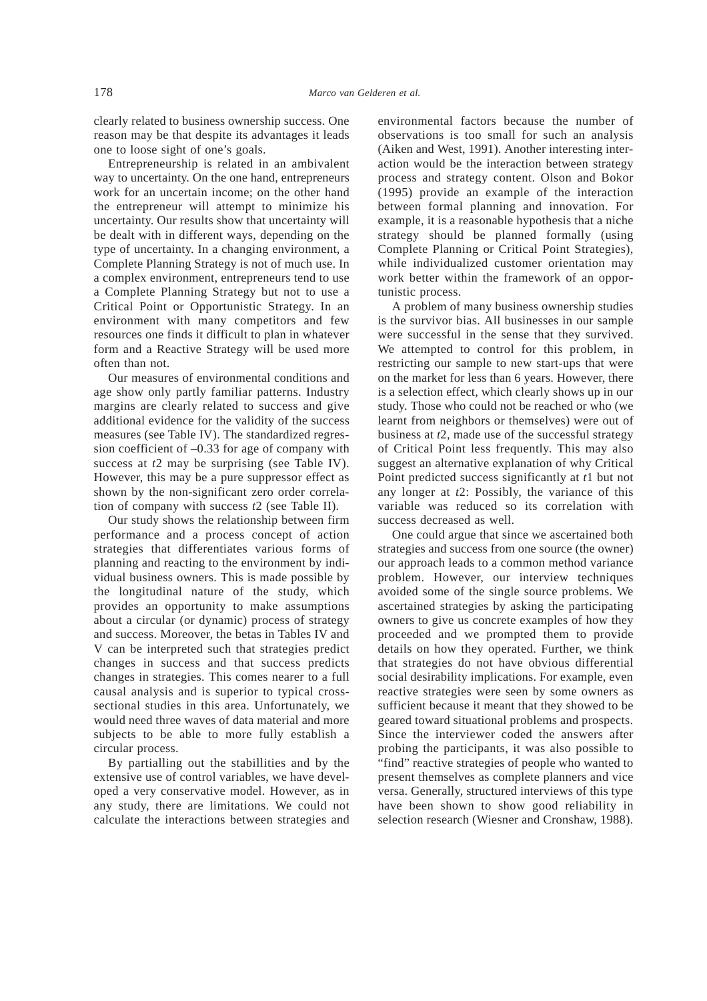clearly related to business ownership success. One reason may be that despite its advantages it leads one to loose sight of one's goals.

Entrepreneurship is related in an ambivalent way to uncertainty. On the one hand, entrepreneurs work for an uncertain income; on the other hand the entrepreneur will attempt to minimize his uncertainty. Our results show that uncertainty will be dealt with in different ways, depending on the type of uncertainty. In a changing environment, a Complete Planning Strategy is not of much use. In a complex environment, entrepreneurs tend to use a Complete Planning Strategy but not to use a Critical Point or Opportunistic Strategy. In an environment with many competitors and few resources one finds it difficult to plan in whatever form and a Reactive Strategy will be used more often than not.

Our measures of environmental conditions and age show only partly familiar patterns. Industry margins are clearly related to success and give additional evidence for the validity of the success measures (see Table IV). The standardized regression coefficient of –0.33 for age of company with success at *t*2 may be surprising (see Table IV). However, this may be a pure suppressor effect as shown by the non-significant zero order correlation of company with success *t*2 (see Table II).

Our study shows the relationship between firm performance and a process concept of action strategies that differentiates various forms of planning and reacting to the environment by individual business owners. This is made possible by the longitudinal nature of the study, which provides an opportunity to make assumptions about a circular (or dynamic) process of strategy and success. Moreover, the betas in Tables IV and V can be interpreted such that strategies predict changes in success and that success predicts changes in strategies. This comes nearer to a full causal analysis and is superior to typical crosssectional studies in this area. Unfortunately, we would need three waves of data material and more subjects to be able to more fully establish a circular process.

By partialling out the stabillities and by the extensive use of control variables, we have developed a very conservative model. However, as in any study, there are limitations. We could not calculate the interactions between strategies and

environmental factors because the number of observations is too small for such an analysis (Aiken and West, 1991). Another interesting interaction would be the interaction between strategy process and strategy content. Olson and Bokor (1995) provide an example of the interaction between formal planning and innovation. For example, it is a reasonable hypothesis that a niche strategy should be planned formally (using Complete Planning or Critical Point Strategies), while individualized customer orientation may work better within the framework of an opportunistic process.

A problem of many business ownership studies is the survivor bias. All businesses in our sample were successful in the sense that they survived. We attempted to control for this problem, in restricting our sample to new start-ups that were on the market for less than 6 years. However, there is a selection effect, which clearly shows up in our study. Those who could not be reached or who (we learnt from neighbors or themselves) were out of business at *t*2, made use of the successful strategy of Critical Point less frequently. This may also suggest an alternative explanation of why Critical Point predicted success significantly at *t*1 but not any longer at *t*2: Possibly, the variance of this variable was reduced so its correlation with success decreased as well.

One could argue that since we ascertained both strategies and success from one source (the owner) our approach leads to a common method variance problem. However, our interview techniques avoided some of the single source problems. We ascertained strategies by asking the participating owners to give us concrete examples of how they proceeded and we prompted them to provide details on how they operated. Further, we think that strategies do not have obvious differential social desirability implications. For example, even reactive strategies were seen by some owners as sufficient because it meant that they showed to be geared toward situational problems and prospects. Since the interviewer coded the answers after probing the participants, it was also possible to "find" reactive strategies of people who wanted to present themselves as complete planners and vice versa. Generally, structured interviews of this type have been shown to show good reliability in selection research (Wiesner and Cronshaw, 1988).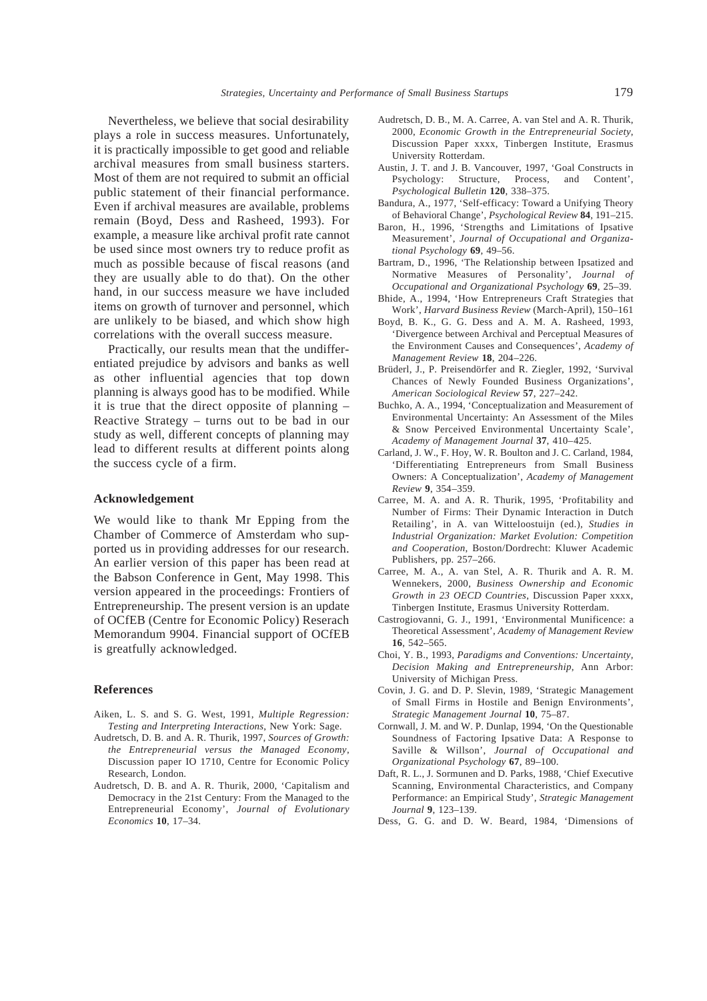Nevertheless, we believe that social desirability plays a role in success measures. Unfortunately, it is practically impossible to get good and reliable archival measures from small business starters. Most of them are not required to submit an official public statement of their financial performance. Even if archival measures are available, problems remain (Boyd, Dess and Rasheed, 1993). For example, a measure like archival profit rate cannot be used since most owners try to reduce profit as much as possible because of fiscal reasons (and they are usually able to do that). On the other hand, in our success measure we have included items on growth of turnover and personnel, which are unlikely to be biased, and which show high correlations with the overall success measure.

Practically, our results mean that the undifferentiated prejudice by advisors and banks as well as other influential agencies that top down planning is always good has to be modified. While it is true that the direct opposite of planning – Reactive Strategy – turns out to be bad in our study as well, different concepts of planning may lead to different results at different points along the success cycle of a firm.

#### **Acknowledgement**

We would like to thank Mr Epping from the Chamber of Commerce of Amsterdam who supported us in providing addresses for our research. An earlier version of this paper has been read at the Babson Conference in Gent, May 1998. This version appeared in the proceedings: Frontiers of Entrepreneurship. The present version is an update of OCfEB (Centre for Economic Policy) Reserach Memorandum 9904. Financial support of OCfEB is greatfully acknowledged.

#### **References**

- Aiken, L. S. and S. G. West, 1991, *Multiple Regression: Testing and Interpreting Interactions*, New York: Sage.
- Audretsch, D. B. and A. R. Thurik, 1997, *Sources of Growth: the Entrepreneurial versus the Managed Economy*, Discussion paper IO 1710, Centre for Economic Policy Research, London.
- Audretsch, D. B. and A. R. Thurik, 2000, 'Capitalism and Democracy in the 21st Century: From the Managed to the Entrepreneurial Economy', *Journal of Evolutionary Economics* **10**, 17–34.
- Audretsch, D. B., M. A. Carree, A. van Stel and A. R. Thurik, 2000, *Economic Growth in the Entrepreneurial Society*, Discussion Paper xxxx, Tinbergen Institute, Erasmus University Rotterdam.
- Austin, J. T. and J. B. Vancouver, 1997, 'Goal Constructs in Psychology: Structure, Process, and Content', *Psychological Bulletin* **120**, 338–375.
- Bandura, A., 1977, 'Self-efficacy: Toward a Unifying Theory of Behavioral Change', *Psychological Review* **84**, 191–215.
- Baron, H., 1996, 'Strengths and Limitations of Ipsative Measurement', *Journal of Occupational and Organizational Psychology* **69**, 49–56.
- Bartram, D., 1996, 'The Relationship between Ipsatized and Normative Measures of Personality', *Journal of Occupational and Organizational Psychology* **69**, 25–39.
- Bhide, A., 1994, 'How Entrepreneurs Craft Strategies that Work', *Harvard Business Review* (March-April), 150–161
- Boyd, B. K., G. G. Dess and A. M. A. Rasheed, 1993, 'Divergence between Archival and Perceptual Measures of the Environment Causes and Consequences', *Academy of Management Review* **18**, 204–226.
- Brüderl, J., P. Preisendörfer and R. Ziegler, 1992, 'Survival Chances of Newly Founded Business Organizations', *American Sociological Review* **57**, 227–242.
- Buchko, A. A., 1994, 'Conceptualization and Measurement of Environmental Uncertainty: An Assessment of the Miles & Snow Perceived Environmental Uncertainty Scale', *Academy of Management Journal* **37**, 410–425.
- Carland, J. W., F. Hoy, W. R. Boulton and J. C. Carland, 1984, 'Differentiating Entrepreneurs from Small Business Owners: A Conceptualization', *Academy of Management Review* **9**, 354–359.
- Carree, M. A. and A. R. Thurik, 1995, 'Profitability and Number of Firms: Their Dynamic Interaction in Dutch Retailing', in A. van Witteloostuijn (ed.), *Studies in Industrial Organization: Market Evolution: Competition and Cooperation*, Boston/Dordrecht: Kluwer Academic Publishers, pp. 257–266.
- Carree, M. A., A. van Stel, A. R. Thurik and A. R. M. Wennekers, 2000, *Business Ownership and Economic Growth in 23 OECD Countries*, Discussion Paper xxxx, Tinbergen Institute, Erasmus University Rotterdam.
- Castrogiovanni, G. J., 1991, 'Environmental Munificence: a Theoretical Assessment', *Academy of Management Review* **16**, 542–565.
- Choi, Y. B., 1993, *Paradigms and Conventions: Uncertainty, Decision Making and Entrepreneurship*, Ann Arbor: University of Michigan Press.
- Covin, J. G. and D. P. Slevin, 1989, 'Strategic Management of Small Firms in Hostile and Benign Environments', *Strategic Management Journal* **10**, 75–87.
- Cornwall, J. M. and W. P. Dunlap, 1994, 'On the Questionable Soundness of Factoring Ipsative Data: A Response to Saville & Willson', *Journal of Occupational and Organizational Psychology* **67**, 89–100.
- Daft, R. L., J. Sormunen and D. Parks, 1988, 'Chief Executive Scanning, Environmental Characteristics, and Company Performance: an Empirical Study', *Strategic Management Journal* **9**, 123–139.
- Dess, G. G. and D. W. Beard, 1984, 'Dimensions of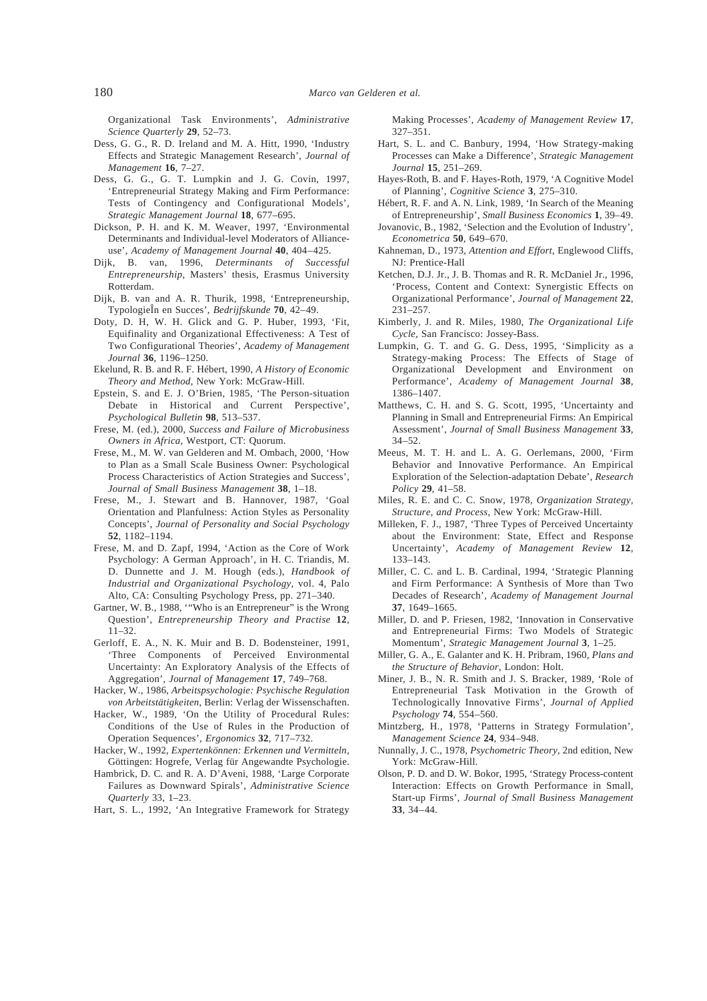Organizational Task Environments', *Administrative Science Quarterly* **29**, 52–73.

- Dess, G. G., R. D. Ireland and M. A. Hitt, 1990, 'Industry Effects and Strategic Management Research', *Journal of Management* **16**, 7–27.
- Dess, G. G., G. T. Lumpkin and J. G. Covin, 1997, 'Entrepreneurial Strategy Making and Firm Performance: Tests of Contingency and Configurational Models', *Strategic Management Journal* **18**, 677–695.
- Dickson, P. H. and K. M. Weaver, 1997, 'Environmental Determinants and Individual-level Moderators of Allianceuse', *Academy of Management Journal* **40**, 404–425.
- Dijk, B. van, 1996, *Determinants of Successful Entrepreneurship*, Masters' thesis, Erasmus University Rotterdam.
- Dijk, B. van and A. R. Thurik, 1998, 'Entrepreneurship, TypologieÎn en Succes', *Bedrijfskunde* **70**, 42–49.
- Doty, D. H, W. H. Glick and G. P. Huber, 1993, 'Fit, Equifinality and Organizational Effectiveness: A Test of Two Configurational Theories', *Academy of Management Journal* **36**, 1196–1250.
- Ekelund, R. B. and R. F. Hébert, 1990, *A History of Economic Theory and Method*, New York: McGraw-Hill.
- Epstein, S. and E. J. O'Brien, 1985, 'The Person-situation Debate in Historical and Current Perspective', *Psychological Bulletin* **98**, 513–537.
- Frese, M. (ed.), 2000, *Success and Failure of Microbusiness Owners in Africa*, Westport, CT: Quorum.
- Frese, M., M. W. van Gelderen and M. Ombach, 2000, 'How to Plan as a Small Scale Business Owner: Psychological Process Characteristics of Action Strategies and Success', *Journal of Small Business Management* **38**, 1–18.
- Frese, M., J. Stewart and B. Hannover, 1987, 'Goal Orientation and Planfulness: Action Styles as Personality Concepts', *Journal of Personality and Social Psychology* **52**, 1182–1194.
- Frese, M. and D. Zapf, 1994, 'Action as the Core of Work Psychology: A German Approach', in H. C. Triandis, M. D. Dunnette and J. M. Hough (eds.), *Handbook of Industrial and Organizational Psychology*, vol. 4, Palo Alto, CA: Consulting Psychology Press, pp. 271–340.
- Gartner, W. B., 1988, '"Who is an Entrepreneur" is the Wrong Question', *Entrepreneurship Theory and Practise* **12**, 11–32.
- Gerloff, E. A., N. K. Muir and B. D. Bodensteiner, 1991, 'Three Components of Perceived Environmental Uncertainty: An Exploratory Analysis of the Effects of Aggregation', *Journal of Management* **17**, 749–768.
- Hacker, W., 1986, *Arbeitspsychologie: Psychische Regulation von Arbeitstätigkeiten*, Berlin: Verlag der Wissenschaften.
- Hacker, W., 1989, 'On the Utility of Procedural Rules: Conditions of the Use of Rules in the Production of Operation Sequences', *Ergonomics* **32**, 717–732.
- Hacker, W., 1992, *Expertenkönnen: Erkennen und Vermitteln*, Göttingen: Hogrefe, Verlag für Angewandte Psychologie.
- Hambrick, D. C. and R. A. D'Aveni, 1988, 'Large Corporate Failures as Downward Spirals', *Administrative Science Quarterly* 33, 1–23.
- Hart, S. L., 1992, 'An Integrative Framework for Strategy

Making Processes', *Academy of Management Review* **17**, 327–351.

- Hart, S. L. and C. Banbury, 1994, 'How Strategy-making Processes can Make a Difference', *Strategic Management Journal* **15**, 251–269.
- Hayes-Roth, B. and F. Hayes-Roth, 1979, 'A Cognitive Model of Planning', *Cognitive Science* **3**, 275–310.
- Hébert, R. F. and A. N. Link, 1989, 'In Search of the Meaning of Entrepreneurship', *Small Business Economics* **1**, 39–49.
- Jovanovic, B., 1982, 'Selection and the Evolution of Industry', *Econometrica* **50**, 649–670.
- Kahneman, D., 1973, *Attention and Effort*, Englewood Cliffs, NJ: Prentice-Hall
- Ketchen, D.J. Jr., J. B. Thomas and R. R. McDaniel Jr., 1996, 'Process, Content and Context: Synergistic Effects on Organizational Performance', *Journal of Management* **22**, 231–257.
- Kimberly, J. and R. Miles, 1980, *The Organizational Life Cycle*, San Francisco: Jossey-Bass.
- Lumpkin, G. T. and G. G. Dess, 1995, 'Simplicity as a Strategy-making Process: The Effects of Stage of Organizational Development and Environment on Performance', *Academy of Management Journal* **38**, 1386–1407.
- Matthews, C. H. and S. G. Scott, 1995, 'Uncertainty and Planning in Small and Entrepreneurial Firms: An Empirical Assessment', *Journal of Small Business Management* **33**,  $34 - 52$
- Meeus, M. T. H. and L. A. G. Oerlemans, 2000, 'Firm Behavior and Innovative Performance. An Empirical Exploration of the Selection-adaptation Debate', *Research Policy* **29**, 41–58.
- Miles, R. E. and C. C. Snow, 1978, *Organization Strategy, Structure, and Process*, New York: McGraw-Hill.
- Milleken, F. J., 1987, 'Three Types of Perceived Uncertainty about the Environment: State, Effect and Response Uncertainty', *Academy of Management Review* **12**, 133–143.
- Miller, C. C. and L. B. Cardinal, 1994, 'Strategic Planning and Firm Performance: A Synthesis of More than Two Decades of Research', *Academy of Management Journal* **37**, 1649–1665.
- Miller, D. and P. Friesen, 1982, 'Innovation in Conservative and Entrepreneurial Firms: Two Models of Strategic Momentum', *Strategic Management Journal* **3**, 1–25.
- Miller, G. A., E. Galanter and K. H. Pribram, 1960, *Plans and the Structure of Behavior*, London: Holt.
- Miner, J. B., N. R. Smith and J. S. Bracker, 1989, 'Role of Entrepreneurial Task Motivation in the Growth of Technologically Innovative Firms', *Journal of Applied Psychology* **74**, 554–560.
- Mintzberg, H., 1978, 'Patterns in Strategy Formulation', *Management Science* **24**, 934–948.
- Nunnally, J. C., 1978, *Psychometric Theory*, 2nd edition, New York: McGraw-Hill.
- Olson, P. D. and D. W. Bokor, 1995, 'Strategy Process-content Interaction: Effects on Growth Performance in Small, Start-up Firms', *Journal of Small Business Management* **33**, 34–44.